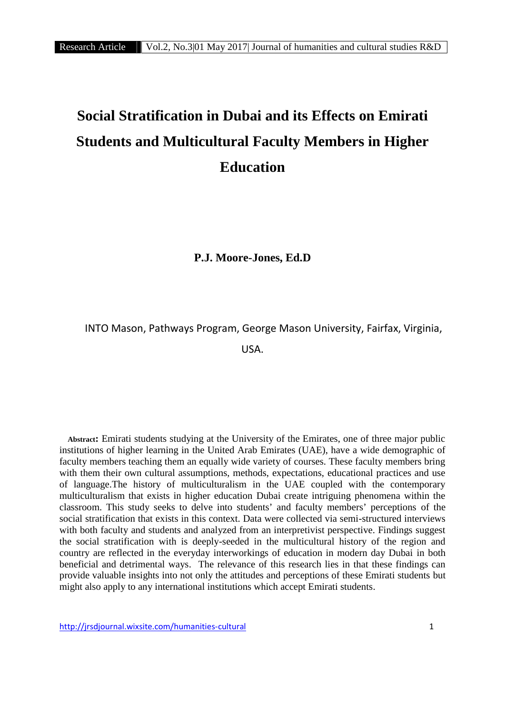# **Social Stratification in Dubai and its Effects on Emirati Students and Multicultural Faculty Members in Higher Education**

**P.J. Moore-Jones, Ed.D**

INTO Mason, Pathways Program, George Mason University, Fairfax, Virginia,

USA.

**Abstract:** Emirati students studying at the University of the Emirates, one of three major public institutions of higher learning in the United Arab Emirates (UAE), have a wide demographic of faculty members teaching them an equally wide variety of courses. These faculty members bring with them their own cultural assumptions, methods, expectations, educational practices and use of language.The history of multiculturalism in the UAE coupled with the contemporary multiculturalism that exists in higher education Dubai create intriguing phenomena within the classroom. This study seeks to delve into students' and faculty members' perceptions of the social stratification that exists in this context. Data were collected via semi-structured interviews with both faculty and students and analyzed from an interpretivist perspective. Findings suggest the social stratification with is deeply-seeded in the multicultural history of the region and country are reflected in the everyday interworkings of education in modern day Dubai in both beneficial and detrimental ways. The relevance of this research lies in that these findings can provide valuable insights into not only the attitudes and perceptions of these Emirati students but might also apply to any international institutions which accept Emirati students.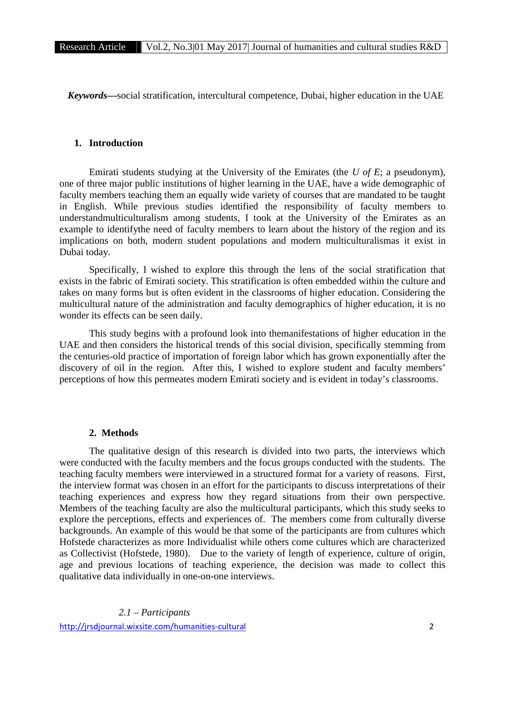*Keywords***—**social stratification, intercultural competence, Dubai, higher education in the UAE

## **1. Introduction**

Emirati students studying at the University of the Emirates (the *U of E*; a pseudonym), one of three major public institutions of higher learning in the UAE, have a wide demographic of faculty members teaching them an equally wide variety of courses that are mandated to be taught in English. While previous studies identified the responsibility of faculty members to understandmulticulturalism among students, I took at the University of the Emirates as an example to identifythe need of faculty members to learn about the history of the region and its implications on both, modern student populations and modern multiculturalismas it exist in Dubai today.

Specifically, I wished to explore this through the lens of the social stratification that exists in the fabric of Emirati society. This stratification is often embedded within the culture and takes on many forms but is often evident in the classrooms of higher education. Considering the multicultural nature of the administration and faculty demographics of higher education, it is no wonder its effects can be seen daily.

This study begins with a profound look into themanifestations of higher education in the UAE and then considers the historical trends of this social division, specifically stemming from the centuries-old practice of importation of foreign labor which has grown exponentially after the discovery of oil in the region. After this, I wished to explore student and faculty members' perceptions of how this permeates modern Emirati society and is evident in today's classrooms.

## **2. Methods**

The qualitative design of this research is divided into two parts, the interviews which were conducted with the faculty members and the focus groups conducted with the students. The teaching faculty members were interviewed in a structured format for a variety of reasons. First, the interview format was chosen in an effort for the participants to discuss interpretations of their teaching experiences and express how they regard situations from their own perspective. Members of the teaching faculty are also the multicultural participants, which this study seeks to explore the perceptions, effects and experiences of. The members come from culturally diverse backgrounds. An example of this would be that some of the participants are from cultures which Hofstede characterizes as more Individualist while others come cultures which are characterized as Collectivist (Hofstede, 1980). Due to the variety of length of experience, culture of origin, age and previous locations of teaching experience, the decision was made to collect this qualitative data individually in one-on-one interviews.

http://jrsdjournal.wixsite.com/humanities-cultural 2 *2.1 – Participants*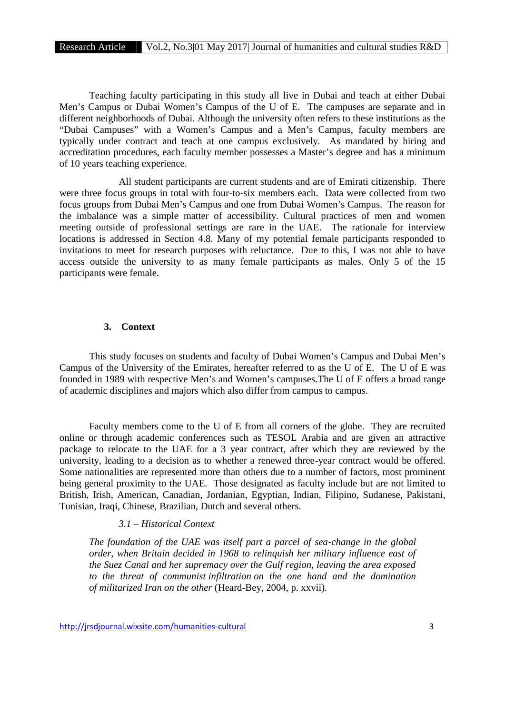Teaching faculty participating in this study all live in Dubai and teach at either Dubai Men's Campus or Dubai Women's Campus of the U of E. The campuses are separate and in different neighborhoods of Dubai. Although the university often refers to these institutions as the "Dubai Campuses" with a Women's Campus and a Men's Campus, faculty members are typically under contract and teach at one campus exclusively. As mandated by hiring and accreditation procedures, each faculty member possesses a Master's degree and has a minimum of 10 years teaching experience.

All student participants are current students and are of Emirati citizenship. There were three focus groups in total with four-to-six members each. Data were collected from two focus groups from Dubai Men's Campus and one from Dubai Women's Campus. The reason for the imbalance was a simple matter of accessibility. Cultural practices of men and women meeting outside of professional settings are rare in the UAE. The rationale for interview locations is addressed in Section 4.8. Many of my potential female participants responded to invitations to meet for research purposes with reluctance. Due to this, I was not able to have access outside the university to as many female participants as males. Only 5 of the 15 participants were female.

#### **3. Context**

This study focuses on students and faculty of Dubai Women's Campus and Dubai Men's Campus of the University of the Emirates, hereafter referred to as the U of E. The U of E was founded in 1989 with respective Men's and Women's campuses.The U of E offers a broad range of academic disciplines and majors which also differ from campus to campus.

Faculty members come to the U of E from all corners of the globe. They are recruited online or through academic conferences such as TESOL Arabia and are given an attractive package to relocate to the UAE for a 3 year contract, after which they are reviewed by the university, leading to a decision as to whether a renewed three-year contract would be offered. Some nationalities are represented more than others due to a number of factors, most prominent being general proximity to the UAE. Those designated as faculty include but are not limited to British, Irish, American, Canadian, Jordanian, Egyptian, Indian, Filipino, Sudanese, Pakistani, Tunisian, Iraqi, Chinese, Brazilian, Dutch and several others.

## *3.1 – Historical Context*

*The foundation of the UAE was itself part a parcel of sea-change in the global order, when Britain decided in 1968 to relinquish her military influence east of the Suez Canal and her supremacy over the Gulf region, leaving the area exposed to the threat of communist infiltration on the one hand and the domination of militarized Iran on the other* (Heard-Bey, 2004, p. xxvii)*.*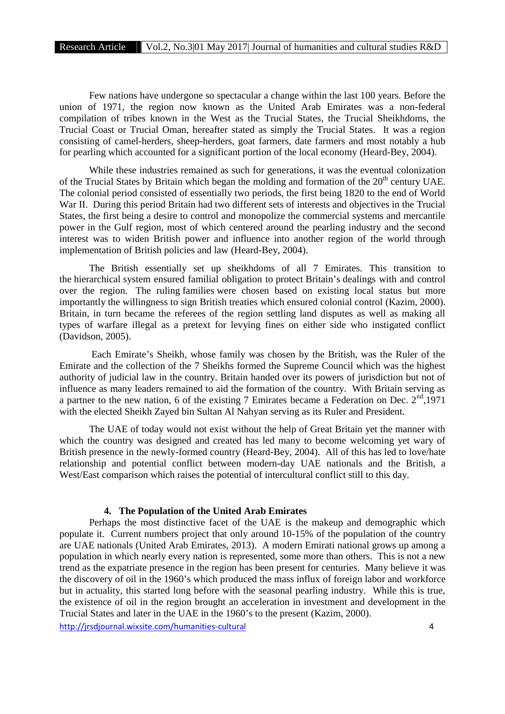Few nations have undergone so spectacular a change within the last 100 years. Before the union of 1971, the region now known as the United Arab Emirates was a non-federal compilation of tribes known in the West as the Trucial States, the Trucial Sheikhdoms, the Trucial Coast or Trucial Oman, hereafter stated as simply the Trucial States. It was a region consisting of camel-herders, sheep-herders, goat farmers, date farmers and most notably a hub for pearling which accounted for a significant portion of the local economy (Heard-Bey, 2004).

While these industries remained as such for generations, it was the eventual colonization of the Trucial States by Britain which began the molding and formation of the  $20<sup>th</sup>$  century UAE. The colonial period consisted of essentially two periods, the first being 1820 to the end of World War II. During this period Britain had two different sets of interests and objectives in the Trucial States, the first being a desire to control and monopolize the commercial systems and mercantile power in the Gulf region, most of which centered around the pearling industry and the second interest was to widen British power and influence into another region of the world through implementation of British policies and law (Heard-Bey, 2004).

The British essentially set up sheikhdoms of all 7 Emirates. This transition to the hierarchical system ensured familial obligation to protect Britain's dealings with and control over the region. The ruling families were chosen based on existing local status but more importantly the willingness to sign British treaties which ensured colonial control (Kazim, 2000). Britain, in turn became the referees of the region settling land disputes as well as making all types of warfare illegal as a pretext for levying fines on either side who instigated conflict (Davidson, 2005).

Each Emirate's Sheikh, whose family was chosen by the British, was the Ruler of the Emirate and the collection of the 7 Sheikhs formed the Supreme Council which was the highest authority of judicial law in the country. Britain handed over its powers of jurisdiction but not of influence as many leaders remained to aid the formation of the country. With Britain serving as a partner to the new nation, 6 of the existing 7 Emirates became a Federation on Dec.  $2<sup>nd</sup>$ , 1971 with the elected Sheikh Zayed bin Sultan Al Nahyan serving as its Ruler and President.

The UAE of today would not exist without the help of Great Britain yet the manner with which the country was designed and created has led many to become welcoming yet wary of British presence in the newly-formed country (Heard-Bey, 2004). All of this has led to love/hate relationship and potential conflict between modern-day UAE nationals and the British, a West/East comparison which raises the potential of intercultural conflict still to this day.

#### **4. The Population of the United Arab Emirates**

Perhaps the most distinctive facet of the UAE is the makeup and demographic which populate it. Current numbers project that only around 10-15% of the population of the country are UAE nationals (United Arab Emirates, 2013). A modern Emirati national grows up among a population in which nearly every nation is represented, some more than others. This is not a new trend as the expatriate presence in the region has been present for centuries. Many believe it was the discovery of oil in the 1960's which produced the mass influx of foreign labor and workforce but in actuality, this started long before with the seasonal pearling industry. While this is true, the existence of oil in the region brought an acceleration in investment and development in the Trucial States and later in the UAE in the 1960's to the present (Kazim, 2000).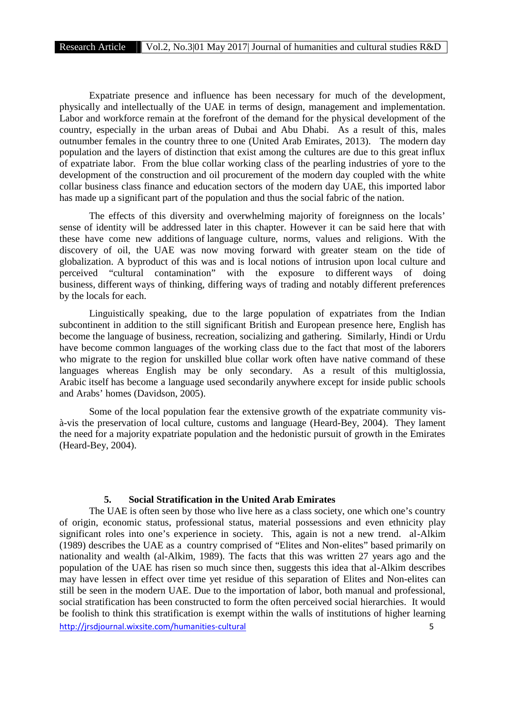Expatriate presence and influence has been necessary for much of the development, physically and intellectually of the UAE in terms of design, management and implementation. Labor and workforce remain at the forefront of the demand for the physical development of the country, especially in the urban areas of Dubai and Abu Dhabi. As a result of this, males outnumber females in the country three to one (United Arab Emirates, 2013). The modern day population and the layers of distinction that exist among the cultures are due to this great influx of expatriate labor. From the blue collar working class of the pearling industries of yore to the development of the construction and oil procurement of the modern day coupled with the white collar business class finance and education sectors of the modern day UAE, this imported labor has made up a significant part of the population and thus the social fabric of the nation.

The effects of this diversity and overwhelming majority of foreignness on the locals' sense of identity will be addressed later in this chapter. However it can be said here that with these have come new additions of language culture, norms, values and religions. With the discovery of oil, the UAE was now moving forward with greater steam on the tide of globalization. A byproduct of this was and is local notions of intrusion upon local culture and perceived "cultural contamination" with the exposure to different ways of doing business, different ways of thinking, differing ways of trading and notably different preferences by the locals for each.

Linguistically speaking, due to the large population of expatriates from the Indian subcontinent in addition to the still significant British and European presence here, English has become the language of business, recreation, socializing and gathering. Similarly, Hindi or Urdu have become common languages of the working class due to the fact that most of the laborers who migrate to the region for unskilled blue collar work often have native command of these languages whereas English may be only secondary. As a result of this multiglossia, Arabic itself has become a language used secondarily anywhere except for inside public schools and Arabs' homes (Davidson, 2005).

Some of the local population fear the extensive growth of the expatriate community vis à-vis the preservation of local culture, customs and language (Heard-Bey, 2004). They lament the need for a majority expatriate population and the hedonistic pursuit of growth in the Emirates (Heard-Bey, 2004).

#### **5. Social Stratification in the United Arab Emirates**

http://jrsdjournal.wixsite.com/humanities-cultural 5 The UAE is often seen by those who live here as a class society, one which one's country of origin, economic status, professional status, material possessions and even ethnicity play significant roles into one's experience in society. This, again is not a new trend. al-Alkim (1989) describes the UAE as a country comprised of "Elites and Non-elites" based primarily on nationality and wealth (al-Alkim, 1989). The facts that this was written 27 years ago and the population of the UAE has risen so much since then, suggests this idea that al-Alkim describes may have lessen in effect over time yet residue of this separation of Elites and Non-elites can still be seen in the modern UAE. Due to the importation of labor, both manual and professional, social stratification has been constructed to form the often perceived social hierarchies. It would be foolish to think this stratification is exempt within the walls of institutions of higher learning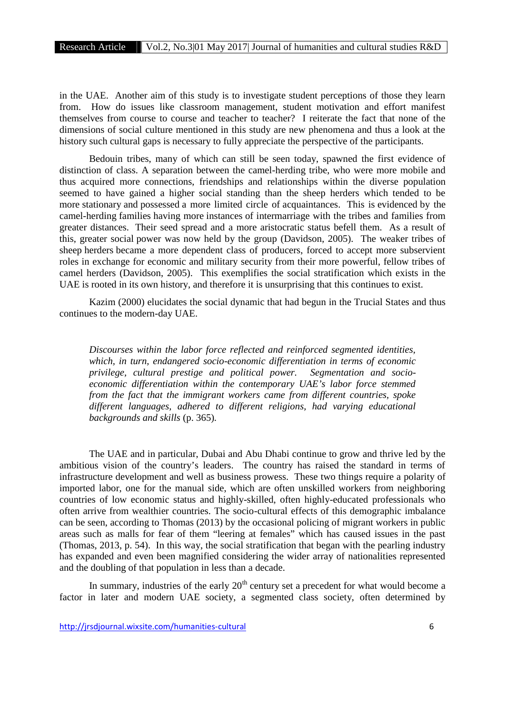in the UAE. Another aim of this study is to investigate student perceptions of those they learn from. How do issues like classroom management, student motivation and effort manifest themselves from course to course and teacher to teacher? I reiterate the fact that none of the dimensions of social culture mentioned in this study are new phenomena and thus a look at the history such cultural gaps is necessary to fully appreciate the perspective of the participants.

Bedouin tribes, many of which can still be seen today, spawned the first evidence of distinction of class. A separation between the camel-herding tribe, who were more mobile and thus acquired more connections, friendships and relationships within the diverse population seemed to have gained a higher social standing than the sheep herders which tended to be more stationary and possessed a more limited circle of acquaintances. This is evidenced by the camel-herding families having more instances of intermarriage with the tribes and families from greater distances. Their seed spread and a more aristocratic status befell them. As a result of this, greater social power was now held by the group (Davidson, 2005). The weaker tribes of sheep herders became a more dependent class of producers, forced to accept more subservient roles in exchange for economic and military security from their more powerful, fellow tribes of camel herders (Davidson, 2005). This exemplifies the social stratification which exists in the UAE is rooted in its own history, and therefore it is unsurprising that this continues to exist.

Kazim (2000) elucidates the social dynamic that had begun in the Trucial States and thus continues to the modern-day UAE.

*Discourses within the labor force reflected and reinforced segmented identities, which, in turn, endangered socio-economic differentiation in terms of economic privilege, cultural prestige and political power. Segmentation and socio economic differentiation within the contemporary UAE's labor force stemmed from the fact that the immigrant workers came from different countries, spoke different languages, adhered to different religions, had varying educational backgrounds and skills* (p. 365)*.*

The UAE and in particular, Dubai and Abu Dhabi continue to grow and thrive led by the ambitious vision of the country's leaders. The country has raised the standard in terms of infrastructure development and well as business prowess. These two things require a polarity of imported labor, one for the manual side, which are often unskilled workers from neighboring countries of low economic status and highly-skilled, often highly-educated professionals who often arrive from wealthier countries. The socio-cultural effects of this demographic imbalance can be seen, according to Thomas (2013) by the occasional policing of migrant workers in public areas such as malls for fear of them "leering at females" which has caused issues in the past (Thomas, 2013, p. 54). In this way, the social stratification that began with the pearling industry has expanded and even been magnified considering the wider array of nationalities represented and the doubling of that population in less than a decade.

In summary, industries of the early  $20<sup>th</sup>$  century set a precedent for what would become a factor in later and modern UAE society, a segmented class society, often determined by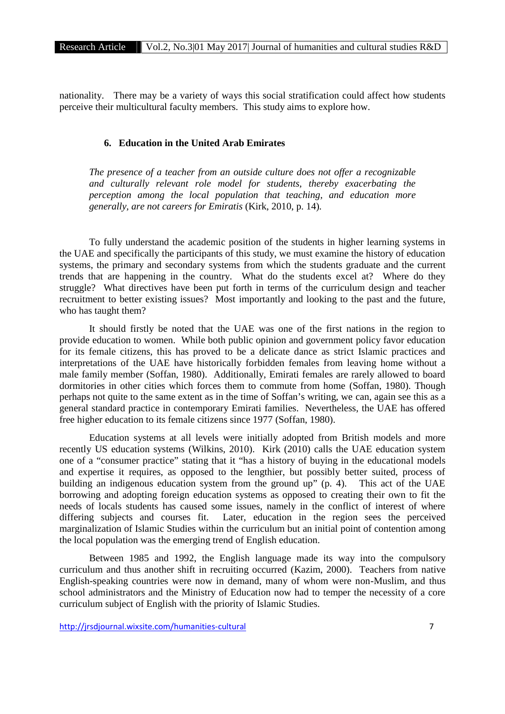nationality. There may be a variety of ways this social stratification could affect how students perceive their multicultural faculty members. This study aims to explore how.

#### **6. Education in the United Arab Emirates**

*The presence of a teacher from an outside culture does not offer a recognizable and culturally relevant role model for students, thereby exacerbating the perception among the local population that teaching, and education more generally, are not careers for Emiratis* (Kirk, 2010, p. 14)*.*

To fully understand the academic position of the students in higher learning systems in the UAE and specifically the participants of this study, we must examine the history of education systems, the primary and secondary systems from which the students graduate and the current trends that are happening in the country. What do the students excel at? Where do they struggle? What directives have been put forth in terms of the curriculum design and teacher recruitment to better existing issues? Most importantly and looking to the past and the future, who has taught them?

It should firstly be noted that the UAE was one of the first nations in the region to provide education to women. While both public opinion and government policy favor education for its female citizens, this has proved to be a delicate dance as strict Islamic practices and interpretations of the UAE have historically forbidden females from leaving home without a male family member (Soffan, 1980). Additionally, Emirati females are rarely allowed to board dormitories in other cities which forces them to commute from home (Soffan, 1980). Though perhaps not quite to the same extent as in the time of Soffan's writing, we can, again see this as a general standard practice in contemporary Emirati families. Nevertheless, the UAE has offered free higher education to its female citizens since 1977 (Soffan, 1980).

Education systems at all levels were initially adopted from British models and more recently US education systems (Wilkins, 2010). Kirk (2010) calls the UAE education system one of a "consumer practice" stating that it "has a history of buying in the educational models and expertise it requires, as opposed to the lengthier, but possibly better suited, process of building an indigenous education system from the ground up" (p. 4). This act of the UAE borrowing and adopting foreign education systems as opposed to creating their own to fit the needs of locals students has caused some issues, namely in the conflict of interest of where differing subjects and courses fit. Later, education in the region sees the perceived marginalization of Islamic Studies within the curriculum but an initial point of contention among the local population was the emerging trend of English education.

Between 1985 and 1992, the English language made its way into the compulsory curriculum and thus another shift in recruiting occurred (Kazim, 2000). Teachers from native English-speaking countries were now in demand, many of whom were non-Muslim, and thus school administrators and the Ministry of Education now had to temper the necessity of a core curriculum subject of English with the priority of Islamic Studies.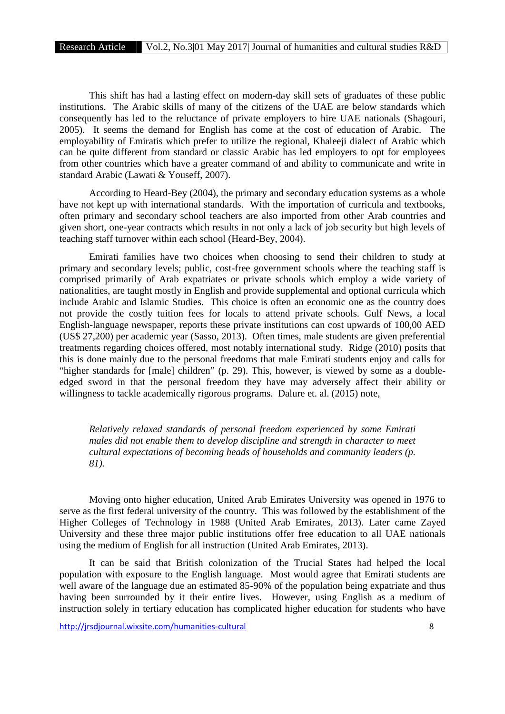This shift has had a lasting effect on modern-day skill sets of graduates of these public institutions. The Arabic skills of many of the citizens of the UAE are below standards which consequently has led to the reluctance of private employers to hire UAE nationals (Shagouri, 2005). It seems the demand for English has come at the cost of education of Arabic. The employability of Emiratis which prefer to utilize the regional, Khaleeji dialect of Arabic which can be quite different from standard or classic Arabic has led employers to opt for employees from other countries which have a greater command of and ability to communicate and write in standard Arabic (Lawati & Youseff, 2007).

According to Heard-Bey (2004), the primary and secondary education systems as a whole have not kept up with international standards. With the importation of curricula and textbooks, often primary and secondary school teachers are also imported from other Arab countries and given short, one-year contracts which results in not only a lack of job security but high levels of teaching staff turnover within each school (Heard-Bey, 2004).

Emirati families have two choices when choosing to send their children to study at primary and secondary levels; public, cost-free government schools where the teaching staff is comprised primarily of Arab expatriates or private schools which employ a wide variety of nationalities, are taught mostly in English and provide supplemental and optional curricula which include Arabic and Islamic Studies. This choice is often an economic one as the country does not provide the costly tuition fees for locals to attend private schools. Gulf News, a local English-language newspaper, reports these private institutions can cost upwards of 100,00 AED (US\$ 27,200) per academic year (Sasso, 2013). Often times, male students are given preferential treatments regarding choices offered, most notably international study. Ridge (2010) posits that this is done mainly due to the personal freedoms that male Emirati students enjoy and calls for "higher standards for [male] children" (p. 29). This, however, is viewed by some as a doubleedged sword in that the personal freedom they have may adversely affect their ability or willingness to tackle academically rigorous programs. Dalure et. al. (2015) note,

*Relatively relaxed standards of personal freedom experienced by some Emirati males did not enable them to develop discipline and strength in character to meet cultural expectations of becoming heads of households and community leaders (p. 81).*

Moving onto higher education, United Arab Emirates University was opened in 1976 to serve as the first federal university of the country. This was followed by the establishment of the Higher Colleges of Technology in 1988 (United Arab Emirates, 2013). Later came Zayed University and these three major public institutions offer free education to all UAE nationals using the medium of English for all instruction (United Arab Emirates, 2013).

It can be said that British colonization of the Trucial States had helped the local population with exposure to the English language. Most would agree that Emirati students are well aware of the language due an estimated 85-90% of the population being expatriate and thus having been surrounded by it their entire lives. However, using English as a medium of instruction solely in tertiary education has complicated higher education for students who have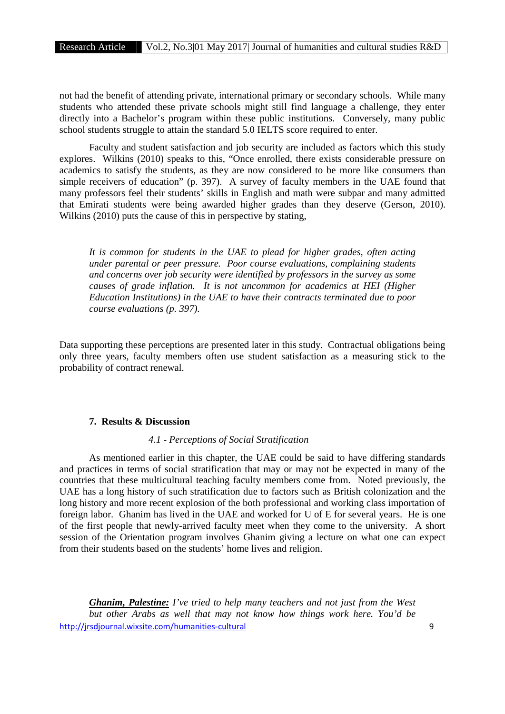not had the benefit of attending private, international primary or secondary schools. While many students who attended these private schools might still find language a challenge, they enter directly into a Bachelor's program within these public institutions. Conversely, many public school students struggle to attain the standard 5.0 IELTS score required to enter.

Faculty and student satisfaction and job security are included as factors which this study explores. Wilkins (2010) speaks to this, "Once enrolled, there exists considerable pressure on academics to satisfy the students, as they are now considered to be more like consumers than simple receivers of education" (p. 397). A survey of faculty members in the UAE found that many professors feel their students' skills in English and math were subpar and many admitted that Emirati students were being awarded higher grades than they deserve (Gerson, 2010). Wilkins (2010) puts the cause of this in perspective by stating,

*It is common for students in the UAE to plead for higher grades, often acting under parental or peer pressure. Poor course evaluations, complaining students and concerns over job security were identified by professors in the survey as some causes of grade inflation. It is not uncommon for academics at HEI (Higher Education Institutions) in the UAE to have their contracts terminated due to poor course evaluations (p. 397).*

Data supporting these perceptions are presented later in this study. Contractual obligations being only three years, faculty members often use student satisfaction as a measuring stick to the probability of contract renewal.

# **7. Results & Discussion**

## *4.1 - Perceptions of Social Stratification*

As mentioned earlier in this chapter, the UAE could be said to have differing standards and practices in terms of social stratification that may or may not be expected in many of the countries that these multicultural teaching faculty members come from. Noted previously, the UAE has a long history of such stratification due to factors such as British colonization and the long history and more recent explosion of the both professional and working class importation of foreign labor. Ghanim has lived in the UAE and worked for U of E for several years. He is one of the first people that newly-arrived faculty meet when they come to the university. A short session of the Orientation program involves Ghanim giving a lecture on what one can expect from their students based on the students' home lives and religion.

http://jrsdjournal.wixsite.com/humanities-cultural 9 *Ghanim, Palestine: I've tried to help many teachers and not just from the West but other Arabs as well that may not know how things work here. You'd be*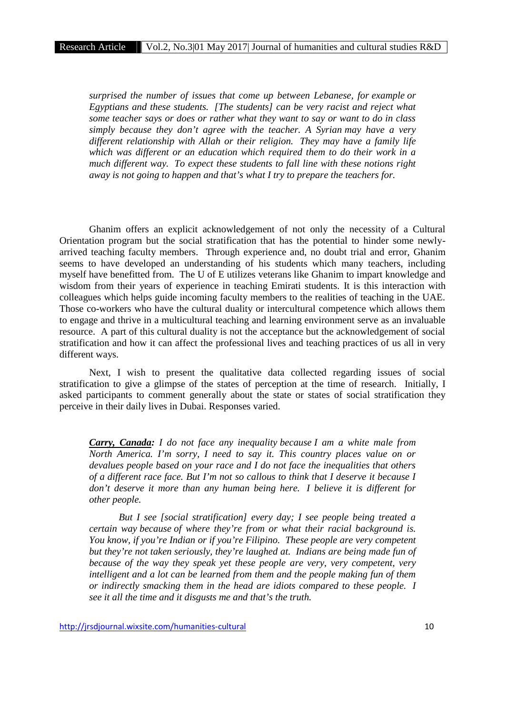*surprised the number of issues that come up between Lebanese, for example or Egyptians and these students. [The students] can be very racist and reject what some teacher says or does or rather what they want to say or want to do in class simply because they don't agree with the teacher. A Syrian may have a very different relationship with Allah or their religion. They may have a family life which was different or an education which required them to do their work in a much different way. To expect these students to fall line with these notions right away is not going to happen and that's what I try to prepare the teachers for.*

Ghanim offers an explicit acknowledgement of not only the necessity of a Cultural Orientation program but the social stratification that has the potential to hinder some newly arrived teaching faculty members. Through experience and, no doubt trial and error, Ghanim seems to have developed an understanding of his students which many teachers, including myself have benefitted from. The U of E utilizes veterans like Ghanim to impart knowledge and wisdom from their years of experience in teaching Emirati students. It is this interaction with colleagues which helps guide incoming faculty members to the realities of teaching in the UAE. Those co-workers who have the cultural duality or intercultural competence which allows them to engage and thrive in a multicultural teaching and learning environment serve as an invaluable resource. A part of this cultural duality is not the acceptance but the acknowledgement of social stratification and how it can affect the professional lives and teaching practices of us all in very different ways.

Next, I wish to present the qualitative data collected regarding issues of social stratification to give a glimpse of the states of perception at the time of research. Initially, I asked participants to comment generally about the state or states of social stratification they perceive in their daily lives in Dubai. Responses varied.

*Carry, Canada: I do not face any inequality because I am a white male from North America. I'm sorry, I need to say it. This country places value on or devalues people based on your race and I do not face the inequalities that others of a different race face. But I'm not so callous to think that I deserve it because I don't deserve it more than any human being here. I believe it is different for other people.*

*But I see [social stratification] every day; I see people being treated a certain way because of where they're from or what their racial background is. You know, if you're Indian or if you're Filipino. These people are very competent but they're not taken seriously, they're laughed at. Indians are being made fun of because of the way they speak yet these people are very, very competent, very intelligent and a lot can be learned from them and the people making fun of them or indirectly smacking them in the head are idiots compared to these people. I see it all the time and it disgusts me and that's the truth.*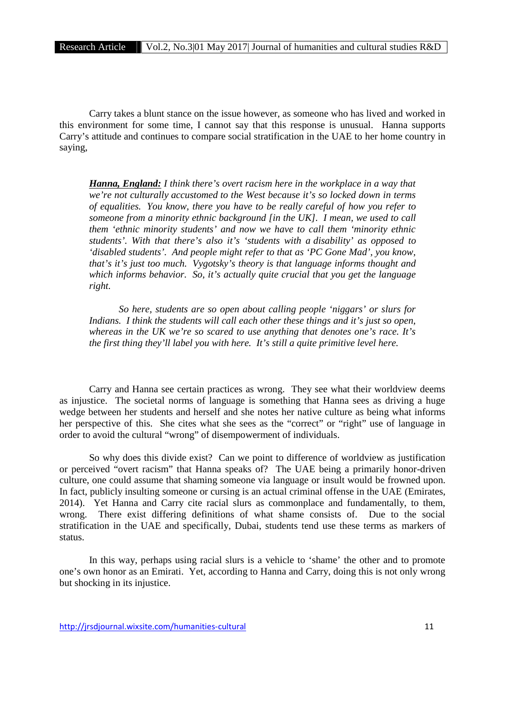Carry takes a blunt stance on the issue however, as someone who has lived and worked in this environment for some time, I cannot say that this response is unusual. Hanna supports Carry's attitude and continues to compare social stratification in the UAE to her home country in saying,

*Hanna, England: I think there's overt racism here in the workplace in a way that we're not culturally accustomed to the West because it's so locked down in terms of equalities. You know, there you have to be really careful of how you refer to someone from a minority ethnic background [in the UK]. I mean, we used to call them 'ethnic minority students' and now we have to call them 'minority ethnic students'. With that there's also it's 'students with a disability' as opposed to 'disabled students'. And people might refer to that as 'PC Gone Mad', you know, that's it's just too much. Vygotsky's theory is that language informs thought and which informs behavior. So, it's actually quite crucial that you get the language right.*

*So here, students are so open about calling people 'niggars' or slurs for Indians. I think the students will call each other these things and it's just so open, whereas in the UK we're so scared to use anything that denotes one's race. It's the first thing they'll label you with here. It's still a quite primitive level here.*

Carry and Hanna see certain practices as wrong. They see what their worldview deems as injustice. The societal norms of language is something that Hanna sees as driving a huge wedge between her students and herself and she notes her native culture as being what informs her perspective of this. She cites what she sees as the "correct" or "right" use of language in order to avoid the cultural "wrong" of disempowerment of individuals.

So why does this divide exist? Can we point to difference of worldview as justification or perceived "overt racism" that Hanna speaks of? The UAE being a primarily honor-driven culture, one could assume that shaming someone via language or insult would be frowned upon. In fact, publicly insulting someone or cursing is an actual criminal offense in the UAE (Emirates, 2014). Yet Hanna and Carry cite racial slurs as commonplace and fundamentally, to them, wrong. There exist differing definitions of what shame consists of. Due to the social stratification in the UAE and specifically, Dubai, students tend use these terms as markers of status.

In this way, perhaps using racial slurs is a vehicle to 'shame' the other and to promote one's own honor as an Emirati. Yet, according to Hanna and Carry, doing this is not only wrong but shocking in its injustice.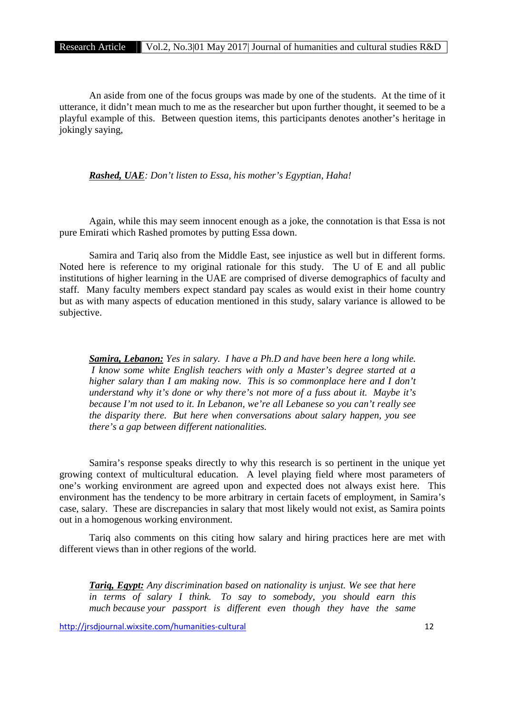An aside from one of the focus groups was made by one of the students. At the time of it utterance, it didn't mean much to me as the researcher but upon further thought, it seemed to be a playful example of this. Between question items, this participants denotes another's heritage in jokingly saying,

*Rashed, UAE: Don't listen to Essa, his mother's Egyptian, Haha!*

Again, while this may seem innocent enough as a joke, the connotation is that Essa is not pure Emirati which Rashed promotes by putting Essa down.

Samira and Tariq also from the Middle East, see injustice as well but in different forms. Noted here is reference to my original rationale for this study. The U of E and all public institutions of higher learning in the UAE are comprised of diverse demographics of faculty and staff. Many faculty members expect standard pay scales as would exist in their home country but as with many aspects of education mentioned in this study, salary variance is allowed to be subjective.

*Samira, Lebanon: Yes in salary. I have a Ph.D and have been here a long while. I know some white English teachers with only a Master's degree started at a higher salary than I am making now. This is so commonplace here and I don't understand why it's done or why there's not more of a fuss about it. Maybe it's because I'm not used to it. In Lebanon, we're all Lebanese so you can't really see the disparity there. But here when conversations about salary happen, you see there's a gap between different nationalities.*

Samira's response speaks directly to why this research is so pertinent in the unique yet growing context of multicultural education. A level playing field where most parameters of one's working environment are agreed upon and expected does not always exist here. This environment has the tendency to be more arbitrary in certain facets of employment, in Samira's case, salary. These are discrepancies in salary that most likely would not exist, as Samira points out in a homogenous working environment.

Tariq also comments on this citing how salary and hiring practices here are met with different views than in other regions of the world.

*Tariq, Egypt: Any discrimination based on nationality is unjust. We see that here in terms of salary I think. To say to somebody, you should earn this much because your passport is different even though they have the same*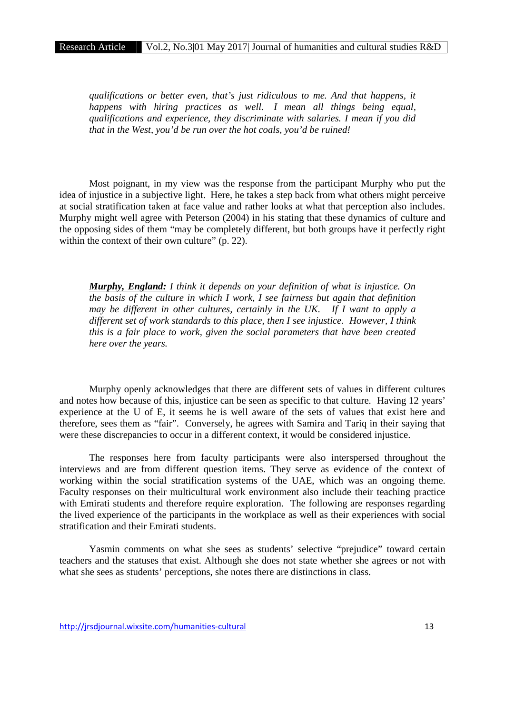*qualifications or better even, that's just ridiculous to me. And that happens, it happens with hiring practices as well. I mean all things being equal, qualifications and experience, they discriminate with salaries. I mean if you did that in the West, you'd be run over the hot coals, you'd be ruined!*

Most poignant, in my view was the response from the participant Murphy who put the idea of injustice in a subjective light. Here, he takes a step back from what others might perceive at social stratification taken at face value and rather looks at what that perception also includes. Murphy might well agree with Peterson (2004) in his stating that these dynamics of culture and the opposing sides of them "may be completely different, but both groups have it perfectly right within the context of their own culture" (p. 22).

*Murphy, England: I think it depends on your definition of what is injustice. On the basis of the culture in which I work, I see fairness but again that definition may be different in other cultures, certainly in the UK. If I want to apply a different set of work standards to this place, then I see injustice. However, I think this is a fair place to work, given the social parameters that have been created here over the years.*

Murphy openly acknowledges that there are different sets of values in different cultures and notes how because of this, injustice can be seen as specific to that culture. Having 12 years' experience at the U of E, it seems he is well aware of the sets of values that exist here and therefore, sees them as "fair". Conversely, he agrees with Samira and Tariq in their saying that were these discrepancies to occur in a different context, it would be considered injustice.

The responses here from faculty participants were also interspersed throughout the interviews and are from different question items. They serve as evidence of the context of working within the social stratification systems of the UAE, which was an ongoing theme. Faculty responses on their multicultural work environment also include their teaching practice with Emirati students and therefore require exploration. The following are responses regarding the lived experience of the participants in the workplace as well as their experiences with social stratification and their Emirati students.

Yasmin comments on what she sees as students' selective "prejudice" toward certain teachers and the statuses that exist. Although she does not state whether she agrees or not with what she sees as students' perceptions, she notes there are distinctions in class.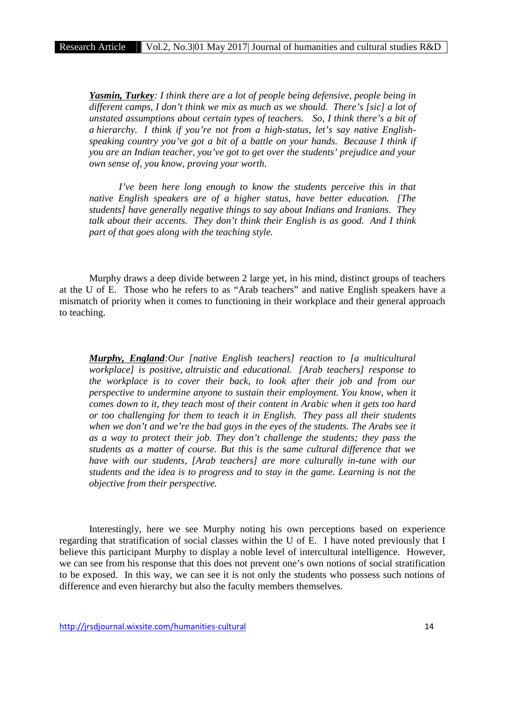*Yasmin, Turkey: I think there are a lot of people being defensive, people being in different camps, I don't think we mix as much as we should. There's [sic] a lot of unstated assumptions about certain types of teachers. So, I think there's a bit of a hierarchy. I think if you're not from a high-status, let's say native English speaking country you've got a bit of a battle on your hands. Because I think if you are an Indian teacher, you've got to get over the students' prejudice and your own sense of, you know, proving your worth.*

*I've been here long enough to know the students perceive this in that native English speakers are of a higher status, have better education. [The students] have generally negative things to say about Indians and Iranians. They talk about their accents. They don't think their English is as good. And I think part of that goes along with the teaching style.*

Murphy draws a deep divide between 2 large yet, in his mind, distinct groups of teachers at the U of E. Those who he refers to as "Arab teachers" and native English speakers have a mismatch of priority when it comes to functioning in their workplace and their general approach to teaching.

*Murphy, England:Our [native English teachers] reaction to [a multicultural workplace] is positive, altruistic and educational. [Arab teachers] response to the workplace is to cover their back, to look after their job and from our perspective to undermine anyone to sustain their employment. You know, when it comes down to it, they teach most of their content in Arabic when it gets too hard or too challenging for them to teach it in English. They pass all their students when we don't and we're the bad guys in the eyes of the students. The Arabs see it as a way to protect their job. They don't challenge the students; they pass the students as a matter of course. But this is the same cultural difference that we have with our students, [Arab teachers] are more culturally in-tune with our students and the idea is to progress and to stay in the game. Learning is not the objective from their perspective.*

Interestingly, here we see Murphy noting his own perceptions based on experience regarding that stratification of social classes within the U of E. I have noted previously that I believe this participant Murphy to display a noble level of intercultural intelligence. However, we can see from his response that this does not prevent one's own notions of social stratification to be exposed. In this way, we can see it is not only the students who possess such notions of difference and even hierarchy but also the faculty members themselves.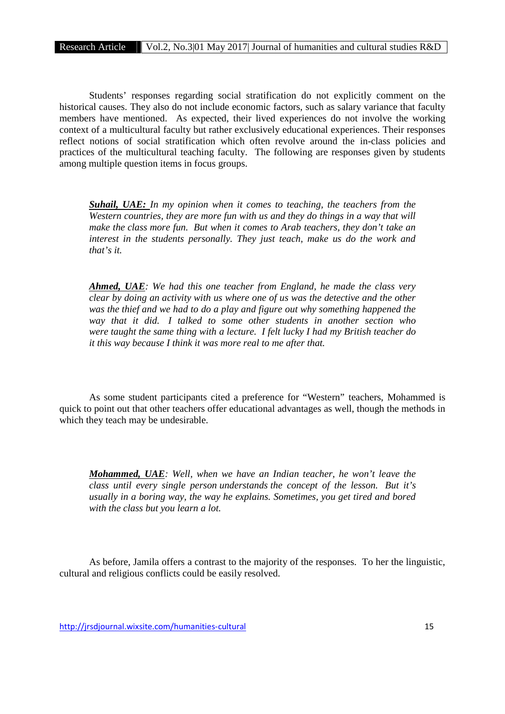Students' responses regarding social stratification do not explicitly comment on the historical causes. They also do not include economic factors, such as salary variance that faculty members have mentioned. As expected, their lived experiences do not involve the working context of a multicultural faculty but rather exclusively educational experiences. Their responses reflect notions of social stratification which often revolve around the in-class policies and practices of the multicultural teaching faculty. The following are responses given by students among multiple question items in focus groups.

*Suhail, UAE: In my opinion when it comes to teaching, the teachers from the Western countries, they are more fun with us and they do things in a way that will make the class more fun. But when it comes to Arab teachers, they don't take an interest in the students personally. They just teach, make us do the work and that's it.*

*Ahmed, UAE: We had this one teacher from England, he made the class very clear by doing an activity with us where one of us was the detective and the other was the thief and we had to do a play and figure out why something happened the way that it did. I talked to some other students in another section who were taught the same thing with a lecture. I felt lucky I had my British teacher do it this way because I think it was more real to me after that.*

As some student participants cited a preference for "Western" teachers, Mohammed is quick to point out that other teachers offer educational advantages as well, though the methods in which they teach may be undesirable.

*Mohammed, UAE: Well, when we have an Indian teacher, he won't leave the class until every single person understands the concept of the lesson. But it's usually in a boring way, the way he explains. Sometimes, you get tired and bored with the class but you learn a lot.*

As before, Jamila offers a contrast to the majority of the responses. To her the linguistic, cultural and religious conflicts could be easily resolved.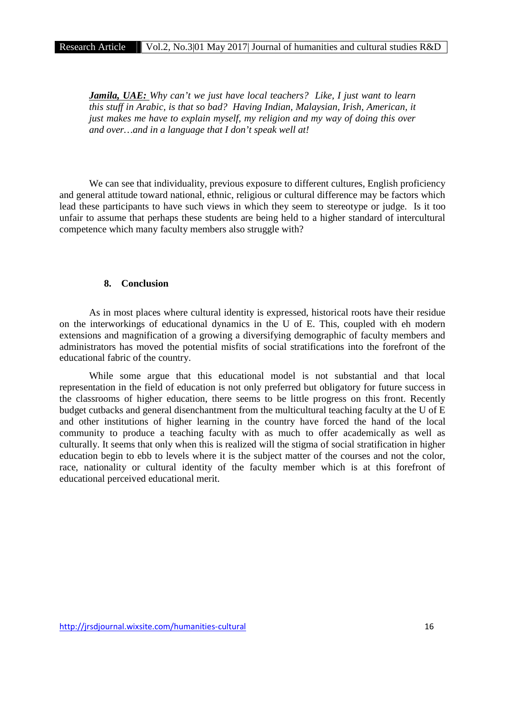*Jamila, UAE: Why can't we just have local teachers? Like, I just want to learn this stuff in Arabic, is that so bad? Having Indian, Malaysian, Irish, American, it just makes me have to explain myself, my religion and my way of doing this over and over…and in a language that I don't speak well at!*

We can see that individuality, previous exposure to different cultures, English proficiency and general attitude toward national, ethnic, religious or cultural difference may be factors which lead these participants to have such views in which they seem to stereotype or judge. Is it too unfair to assume that perhaps these students are being held to a higher standard of intercultural competence which many faculty members also struggle with?

## **8. Conclusion**

As in most places where cultural identity is expressed, historical roots have their residue on the interworkings of educational dynamics in the U of E. This, coupled with eh modern extensions and magnification of a growing a diversifying demographic of faculty members and administrators has moved the potential misfits of social stratifications into the forefront of the educational fabric of the country.

While some argue that this educational model is not substantial and that local representation in the field of education is not only preferred but obligatory for future success in the classrooms of higher education, there seems to be little progress on this front. Recently budget cutbacks and general disenchantment from the multicultural teaching faculty at the U of E and other institutions of higher learning in the country have forced the hand of the local community to produce a teaching faculty with as much to offer academically as well as culturally. It seems that only when this is realized will the stigma of social stratification in higher education begin to ebb to levels where it is the subject matter of the courses and not the color, race, nationality or cultural identity of the faculty member which is at this forefront of educational perceived educational merit.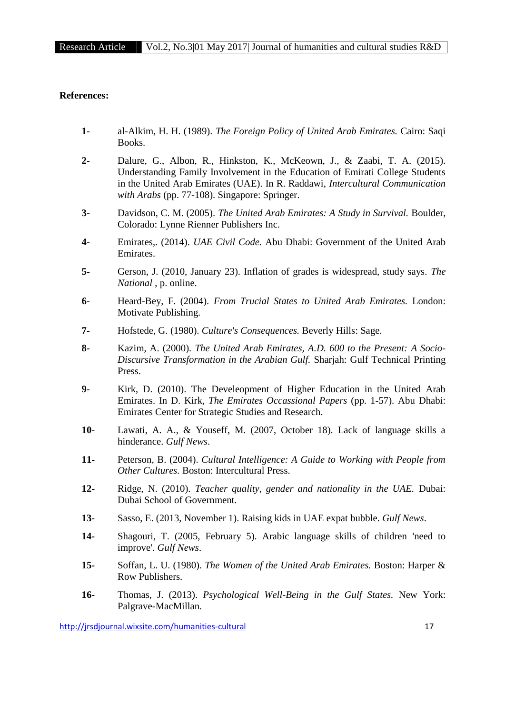## **References:**

- **1-** al-Alkim, H. H. (1989). *The Foreign Policy of United Arab Emirates.* Cairo: Saqi Books.
- **2-** Dalure, G., Albon, R., Hinkston, K., McKeown, J., & Zaabi, T. A. (2015). Understanding Family Involvement in the Education of Emirati College Students in the United Arab Emirates (UAE). In R. Raddawi, *Intercultural Communication with Arabs* (pp. 77-108). Singapore: Springer.
- **3-** Davidson, C. M. (2005). *The United Arab Emirates: A Study in Survival.* Boulder, Colorado: Lynne Rienner Publishers Inc.
- **4-** Emirates,. (2014). *UAE Civil Code.* Abu Dhabi: Government of the United Arab Emirates.
- **5-** Gerson, J. (2010, January 23). Inflation of grades is widespread, study says. *The National* , p. online.
- **6-** Heard-Bey, F. (2004). *From Trucial States to United Arab Emirates.* London: Motivate Publishing.
- **7-** Hofstede, G. (1980). *Culture's Consequences.* Beverly Hills: Sage.
- **8-** Kazim, A. (2000). *The United Arab Emirates, A.D. 600 to the Present: A Socio- Discursive Transformation in the Arabian Gulf.* Sharjah: Gulf Technical Printing Press.
- **9-** Kirk, D. (2010). The Develeopment of Higher Education in the United Arab Emirates. In D. Kirk, *The Emirates Occassional Papers* (pp. 1-57). Abu Dhabi: Emirates Center for Strategic Studies and Research.
- **10-** Lawati, A. A., & Youseff, M. (2007, October 18). Lack of language skills a hinderance. *Gulf News*.
- **11-** Peterson, B. (2004). *Cultural Intelligence: A Guide to Working with People from Other Cultures.* Boston: Intercultural Press.
- **12-** Ridge, N. (2010). *Teacher quality, gender and nationality in the UAE.* Dubai: Dubai School of Government.
- **13-** Sasso, E. (2013, November 1). Raising kids in UAE expat bubble. *Gulf News*.
- **14-** Shagouri, T. (2005, February 5). Arabic language skills of children 'need to improve'. *Gulf News*.
- **15-** Soffan, L. U. (1980). *The Women of the United Arab Emirates.* Boston: Harper & Row Publishers.
- **16-** Thomas, J. (2013). *Psychological Well-Being in the Gulf States.* New York: Palgrave-MacMillan.